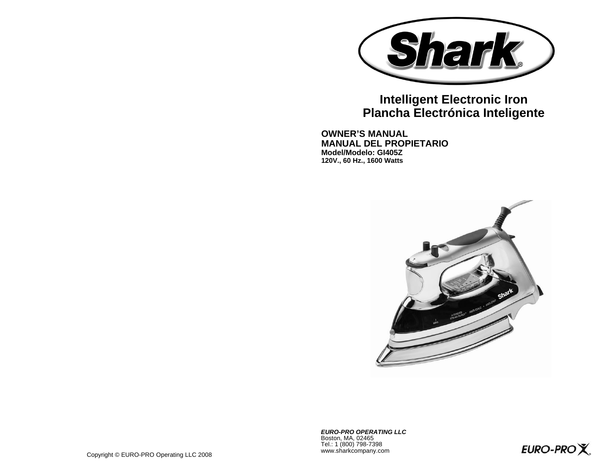

**Intelligent Electronic Iron Plancha Electrónica Inteligente**

**OWNER'S MANUAL MANUAL DEL PROPIETARIO Model/Modelo: GI405Z120V., 60 Hz., 1600 Watts**



*EURO-PRO OPERATING LLC* Boston, MA, 02465 Tel.: 1 (800) 798-7398 www.sharkcompany.com

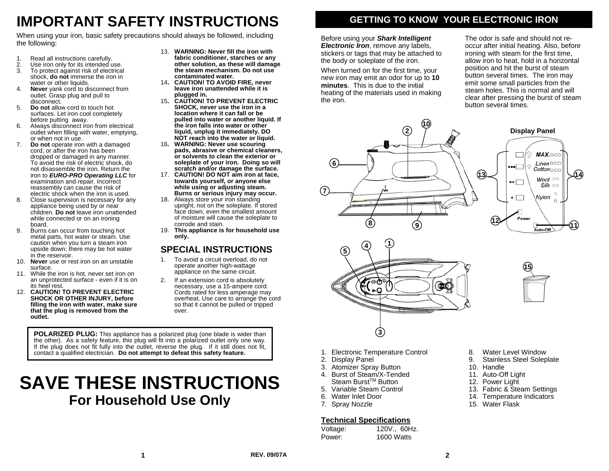# **IMPORTANT SAFETY INSTRUCTIONS**

When using your iron, basic safety precautions should always be followed, including the following:

- 
- 1. Read all instructions carefully.<br>
2. Use iron only for its intended u<br>
3. To protect against risk of elect Use iron only for its intended use. To protect against risk of electrical shock, **do not** immerse the iron in water or other liquids.
- 4. **Never** yank cord to disconnect from outlet. Grasp plug and pull to disconnect.
- 5. **Do not** allow cord to touch hot surfaces. Let iron cool completely before putting away.
- 6. Always disconnect iron from electrical outlet when filling with water, emptying, or when not in use.
- 7. **Do not** operate iron with a damaged cord, or after the iron has been dropped or damaged in any manner. To avoid the risk of electric shock, do not disassemble the iron. Return the iron to *EURO-PRO Operating LLC* for examination and repair. Incorrect reassembly can cause the risk of electric shock when the iron is used.
- 8. Close supervision is necessary for any appliance being used by or near children. **Do not** leave iron unattended while connected or on an ironing board.
- 9. Burns can occur from touching hot metal parts, hot water or steam. Use caution when you turn a steam iron upside down; there may be hot water in the reservoir.
- 10. **Never** use or rest iron on an unstable surface.
- 11. While the iron is hot, never set iron on an unprotected surface - even if it is on its heel rest.
- 12. **CAUTION! TO PREVENT ELECTRIC SHOCK OR OTHER INJURY, before filling the iron with water, make sure that the plug is removed from the outlet.**
- 13. **WARNING: Never fill the iron with fabric conditioner, starches or any other solution, as these will damage the steam mechanism. Do not use contaminated water.**
- 14**. CAUTION! TO AVOID FIRE, never leave iron unattended while it is plugged in.**
- 15**. CAUTION! TO PREVENT ELECTRIC SHOCK, never use the iron in a location where it can fall or be pulled into water or another liquid. If the iron falls into water or other liquid, unplug it immediately. DO NOT reach into the water or liquid.**
- 16**. WARNING: Never use scouring pads, abrasive or chemical cleaners, or solvents to clean the exterior or soleplate of your iron. Doing so will scratch and/or damage the surface.**
- 17. **CAUTION! DO NOT aim iron at face, towards yourself, or anyone else while using or adjusting steam. Burns or serious injury may occur.**
- 18. Always store your iron standing upright, not on the soleplate. If stored face down, even the smallest amount of moisture will cause the soleplate to corrode and stain.
- 19. **This appliance is for household use only.**

### **SPECIAL INSTRUCTIONS**

- 1. To avoid a circuit overload, do not operate another high-wattage appliance on the same circuit.
- 2. If an extension cord is absolutely necessary, use a 15-ampere cord. Cords rated for less amperage may overheat. Use care to arrange the cord so that it cannot be pulled or tripped over.

**POLARIZED PLUG:** This appliance has a polarized plug (one blade is wider than the other). As a safety feature, this plug will fit into a polarized outlet only one way. If the plug does not fit fully into the outlet, reverse the plug. If it still does not fit, contact a qualified electrician. **Do not attempt to defeat this safety feature.**

# **SAVE THESE INSTRUCTIONSFor Household Use Only**

# **GETTING TO KNOW YOUR ELECTRONIC IRON**

Before using your *Shark Intelligent Electronic Iron*, remove any labels, stickers or tags that may be attached to the body or soleplate of the iron.

When turned on for the first time, your new iron may emit an odor for up to **10 minutes**. This is due to the initial heating of the materials used in making the iron.

The odor is safe and should not reoccur after initial heating. Also, before ironing with steam for the first time, allow iron to heat, hold in a horizontal position and hit the burst of steam button several times. The iron may emit some small particles from the steam holes. This is normal and will clear after pressing the burst of steam button several times.



1. Electronic Temperature Control

**3**

- 2. Display Panel
- 3. Atomizer Spray Button
- 4. Burst of Steam/X-Tended Steam Burst™ Button
- 5. Variable Steam Control
- 6. Water Inlet Door
- 7. Spray Nozzle

### **Technical Specifications**

Voltage: 120V., 60Hz. Power: 1600 Watts

- 8. Water Level Window
- 9. Stainless Steel Soleplate
- 10. Handle
- 11. Auto-Off Light
- 12. Power Light
- 13. Fabric & Steam Settings
- 14. Temperature Indicators
- 15. Water Flask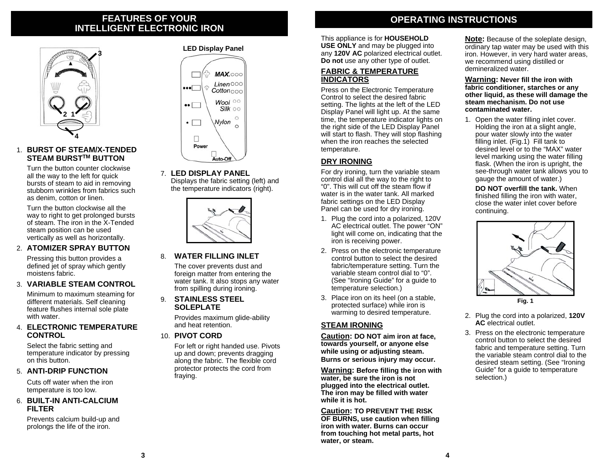### **FEATURES OF YOUR INTELLIGENT ELECTRONIC IRON**



### 1. **BURST OF STEAM/X-TENDED STEAM BURSTTM BUTTON**

Turn the button counter clockwise all the way to the left for quick bursts of steam to aid in removing stubborn wrinkles from fabrics such as denim, cotton or linen.

Turn the button clockwise all the way to right to get prolonged bursts of steam. The iron in the X-Tended steam position can be used vertically as well as horizontally.

### 2. **ATOMIZER SPRAY BUTTON**

Pressing this button provides a defined jet of spray which gently moistens fabric.

### 3. **VARIABLE STEAM CONTROL**

Minimum to maximum steaming for different materials. Self cleaning feature flushes internal sole plate with water.

### 4. **ELECTRONIC TEMPERATURE CONTROL**

Select the fabric setting and temperature indicator by pressing on this button.

### 5. **ANTI-DRIP FUNCTION**

Cuts off water when the iron temperature is too low.

### 6. **BUILT-IN ANTI-CALCIUM FILTER**

Prevents calcium build-up and prolongs the life of the iron.

#### **LED Display Panel**



### 7. **LED DISPLAY PANEL**

Displays the fabric setting (left) and the temperature indicators (right).



### 8. **WATER FILLING INLET**

The cover prevents dust and foreign matter from entering the water tank. It also stops any water from spilling during ironing.

### 9. **STAINLESS STEEL SOLEPLATE**

Provides maximum glide-ability and heat retention.

### 10. **PIVOT CORD**

For left or right handed use. Pivots up and down; prevents dragging along the fabric. The flexible cord protector protects the cord from fraying.

# **OPERATING INSTRUCTIONS**

This appliance is for **HOUSEHOLD USE ONLY** and may be plugged into any **120V AC** polarized electrical outlet. **Do not** use any other type of outlet.

### **FABRIC & TEMPERATURE INDICATORS**

Press on the Electronic Temperature Control to select the desired fabric setting. The lights at the left of the LED Display Panel will light up. At the same time, the temperature indicator lights on the right side of the LED Display Panel will start to flash. They will stop flashing when the iron reaches the selected temperature.

### **DRY IRONING**

For dry ironing, turn the variable steam control dial all the way to the right to "0". This will cut off the steam flow if water is in the water tank. All marked fabric settings on the LED Display Panel can be used for dry ironing.

- 1. Plug the cord into a polarized, 120V AC electrical outlet. The power "ON" light will come on, indicating that the iron is receiving power.
- 2. Press on the electronic temperature control button to select the desired fabric/temperature setting. Turn the variable steam control dial to "0". (See "Ironing Guide" for a guide to temperature selection.)
- 3. Place iron on its heel (on a stable, protected surface) while iron is warming to desired temperature.

### **STEAM IRONING**

**Caution: DO NOT aim iron at face, towards yourself, or anyone else while using or adjusting steam. Burns or serious injury may occur.**

**Warning: Before filling the iron with water, be sure the iron is not plugged into the electrical outlet. The iron may be filled with water while it is hot.**

**Caution: TO PREVENT THE RISK OF BURNS, use caution when filling iron with water. Burns can occur from touching hot metal parts, hot water, or steam.**

**Note:** Because of the soleplate design, ordinary tap water may be used with this iron. However, in very hard water areas, we recommend using distilled or demineralized water.

#### **Warning: Never fill the iron with fabric conditioner, starches or any other liquid, as these will damage the steam mechanism. Do not use contaminated water.**

1. Open the water filling inlet cover. Holding the iron at a slight angle, pour water slowly into the water filling inlet. (Fig.1) Fill tank to desired level or to the "MAX" water level marking using the water filling flask. (When the iron is upright, the see-through water tank allows you to gauge the amount of water.)

**DO NOT overfill the tank.** When finished filling the iron with water, close the water inlet cover before continuing.





- 2. Plug the cord into a polarized, **120V AC** electrical outlet.
- 3. Press on the electronic temperature control button to select the desired fabric and temperature setting. Turn the variable steam control dial to the desired steam setting. (See "Ironing Guide" for a guide to temperature selection.)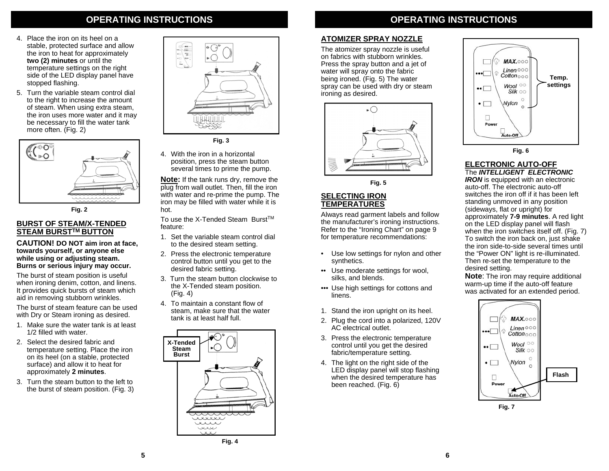# **OPERATING INSTRUCTIONS**

- 4. Place the iron on its heel on a stable, protected surface and allow the iron to heat for approximately **two (2) minutes** or until the temperature settings on the right side of the LED display panel have stopped flashing.
- 5. Turn the variable steam control dial to the right to increase the amount of steam. When using extra steam, the iron uses more water and it may be necessary to fill the water tank more often. (Fig. 2)



#### **Fig. 2**

### **BURST OF STEAM/X-TENDED STEAM BURSTTM BUTTON**

**CAUTION! DO NOT aim iron at face, towards yourself, or anyone else while using or adjusting steam. Burns or serious injury may occur.**

The burst of steam position is useful when ironing denim, cotton, and linens. It provides quick bursts of steam which aid in removing stubborn wrinkles.

The burst of steam feature can be used with Dry or Steam ironing as desired.

- 1. Make sure the water tank is at least 1/2 filled with water.
- 2. Select the desired fabric and temperature setting. Place the iron on its heel (on a stable, protected surface) and allow it to heat for approximately **2 minutes**.
- 3. Turn the steam button to the left to the burst of steam position. (Fig. 3)





4. With the iron in a horizontal position, press the steam button several times to prime the pump.

**Note:** If the tank runs dry, remove the plug from wall outlet. Then, fill the iron with water and re-prime the pump. The iron may be filled with water while it is hot.

To use the X-Tended Steam Burst™ feature:

- 1. Set the variable steam control dial to the desired steam setting.
- 2. Press the electronic temperature control button until you get to the desired fabric setting.
- 3. Turn the steam button clockwise to the X-Tended steam position. (Fig. 4)
- 4. To maintain a constant flow of steam, make sure that the water tank is at least half full.



**Fig. 4**

# **OPERATING INSTRUCTIONS**

### **ATOMIZER SPRAY NOZZLE**

The atomizer spray nozzle is useful on fabrics with stubborn wrinkles. Press the spray button and a jet of water will spray onto the fabric being ironed. (Fig. 5) The water spray can be used with dry or steam ironing as desired.



**Fig. 5**

### **SELECTING IRON TEMPERATURES**

Always read garment labels and follow the manufacturer's ironing instructions. Refer to the "Ironing Chart" on page 9 for temperature recommendations:

- Use low settings for nylon and other synthetics.
- •• Use moderate settings for wool, silks, and blends.
- ••• Use high settings for cottons and linens.
- 1. Stand the iron upright on its heel.
- 2. Plug the cord into a polarized, 120V AC electrical outlet.
- 3. Press the electronic temperature control until you get the desired fabric/temperature setting.
- 4. The light on the right side of the LED display panel will stop flashing when the desired temperature has been reached. (Fig. 6)





#### **ELECTRONIC AUTO-OFF**The *INTELLIGENT ELECTRONIC*

*IRON* is equipped with an electronic auto-off. The electronic auto-off switches the iron off if it has been left standing unmoved in any position (sideways, flat or upright) for approximately **7-9 minutes**. A red light on the LED display panel will flash when the iron switches itself off. (Fig. 7) To switch the iron back on, just shake the iron side-to-side several times until the "Power ON" light is re-illuminated. Then re-set the temperature to the desired setting.

**Note**: The iron may require additional warm-up time if the auto-off feature was activated for an extended period.



**Fig. 7**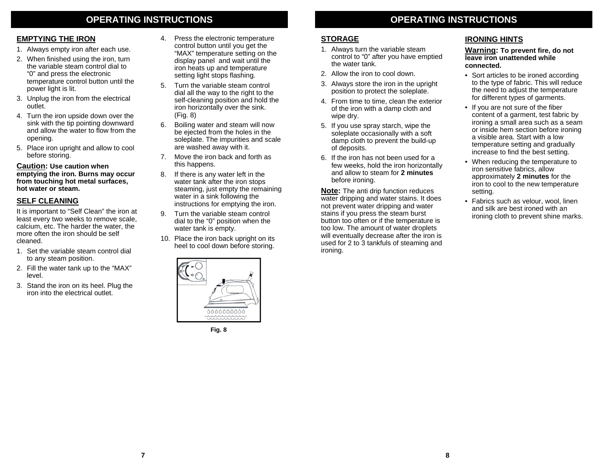### **OPERATING INSTRUCTIONS**

### **EMPTYING THE IRON**

- 1. Always empty iron after each use.
- 2. When finished using the iron, turn the variable steam control dial to "0" and press the electronic temperature control button until the power light is lit.
- 3. Unplug the iron from the electrical outlet.
- 4. Turn the iron upside down over the sink with the tip pointing downward and allow the water to flow from the opening.
- 5. Place iron upright and allow to cool before storing.

**Caution: Use caution when emptying the iron. Burns may occur from touching hot metal surfaces, hot water or steam.**

### **SELF CLEANING**

It is important to "Self Clean" the iron at least every two weeks to remove scale, calcium, etc. The harder the water, the more often the iron should be self cleaned.

- 1. Set the variable steam control dial to any steam position.
- 2. Fill the water tank up to the "MAX" level.
- 3. Stand the iron on its heel. Plug the iron into the electrical outlet.
- 4. Press the electronic temperature control button until you get the "MAX" temperature setting on the display panel and wait until the iron heats up and temperature setting light stops flashing.
- 5. Turn the variable steam control dial all the way to the right to the self-cleaning position and hold the iron horizontally over the sink. (Fig. 8)
- 6. Boiling water and steam will now be ejected from the holes in the soleplate. The impurities and scale are washed away with it.
- 7. Move the iron back and forth as this happens.
- 8. If there is any water left in the water tank after the iron stops steaming, just empty the remaining water in a sink following the instructions for emptying the iron.
- 9. Turn the variable steam control dial to the "0" position when the water tank is empty.
- 10. Place the iron back upright on its heel to cool down before storing.

![](_page_4_Picture_20.jpeg)

![](_page_4_Figure_21.jpeg)

# **OPERATING INSTRUCTIONS**

### **STORAGE**

- 1. Always turn the variable steam control to "0" after you have emptied the water tank.
- 2. Allow the iron to cool down.
- 3. Always store the iron in the upright position to protect the soleplate.
- 4. From time to time, clean the exterior of the iron with a damp cloth and wipe dry.
- 5. If you use spray starch, wipe the soleplate occasionally with a soft damp cloth to prevent the build-up of deposits.
- 6. If the iron has not been used for a few weeks, hold the iron horizontally and allow to steam for **2 minutes** before ironing.

**Note:** The anti drip function reduces water dripping and water stains. It does not prevent water dripping and water stains if you press the steam burst button too often or if the temperature is too low. The amount of water droplets will eventually decrease after the iron is used for 2 to 3 tankfuls of steaming and ironing.

### **IRONING HINTS**

#### **Warning: To prevent fire, do not leave iron unattended while connected.**

- Sort articles to be ironed according to the type of fabric. This will reduce the need to adjust the temperature for different types of garments.
- If you are not sure of the fiber content of a garment, test fabric by ironing a small area such as a seam or inside hem section before ironing a visible area. Start with a low temperature setting and gradually increase to find the best setting.
- When reducing the temperature to iron sensitive fabrics, allow approximately **2 minutes** for the iron to cool to the new temperature setting.
- Fabrics such as velour, wool, linen and silk are best ironed with an ironing cloth to prevent shine marks.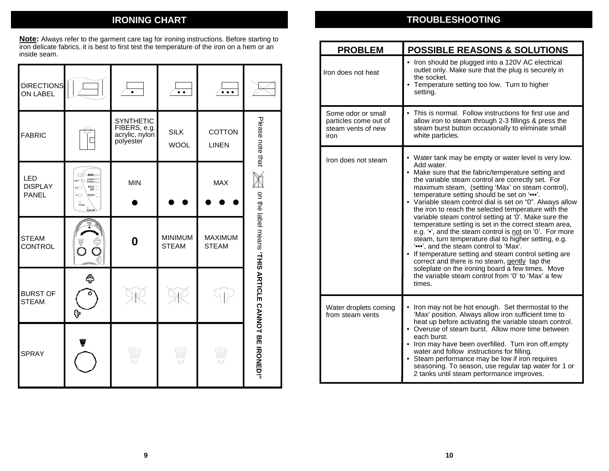### **IRONING CHART**

**Note:** Always refer to the garment care tag for ironing instructions. Before starting to iron delicate fabrics, it is best to first test the temperature of the iron on a hem or an inside seam.

| <b>DIRECTIONS</b><br><b>ON LABEL</b>  |                                                                                                        | ۵                                                        | $\bullet$                      | $\overline{\cdots}$     |                                                     |
|---------------------------------------|--------------------------------------------------------------------------------------------------------|----------------------------------------------------------|--------------------------------|-------------------------|-----------------------------------------------------|
| <b>FABRIC</b>                         |                                                                                                        | SYNTHETIC<br>FIBERS, e.g.<br>acrylic, nylon<br>polyester | <b>SILK</b><br><b>WOOL</b>     | COTTON<br><b>LINEN</b>  | Please note that                                    |
| LED<br><b>DISPLAY</b><br><b>PANEL</b> | MAX.<br>mю<br>Linen <sup>c</sup><br>$\blacksquare$<br>Wool<br>Silk<br>⊷⊡<br>$\cdot \Box$<br>Nylon<br>٥ | <b>MIN</b>                                               |                                | <b>MAX</b>              | X                                                   |
| <b>STEAM</b><br><b>CONTROL</b>        | $\widehat{\mathbb{F}}$                                                                                 | 0                                                        | <b>MINIMUM</b><br><b>STEAM</b> | MAXIMUM<br><b>STEAM</b> |                                                     |
| <b>BURST OF</b><br><b>STEAM</b>       | ଈ<br>G                                                                                                 |                                                          |                                | $\frac{1}{\sqrt{2}}$    |                                                     |
| <b>SPRAY</b>                          |                                                                                                        | \\\\//<br>Ō                                              | W                              | ∭/                      | <b>COLLOCATION STRIP CONVICTE CONVICTE CONVICTS</b> |

### **TROUBLESHOOTING**

| <b>PROBLEM</b>                                                            | <b>POSSIBLE REASONS &amp; SOLUTIONS</b>                                                                                                                                                                                                                                                                                                                                                                                                                                                                                                                                                                                                                                                                                                                                                                                                                                                                  |  |  |
|---------------------------------------------------------------------------|----------------------------------------------------------------------------------------------------------------------------------------------------------------------------------------------------------------------------------------------------------------------------------------------------------------------------------------------------------------------------------------------------------------------------------------------------------------------------------------------------------------------------------------------------------------------------------------------------------------------------------------------------------------------------------------------------------------------------------------------------------------------------------------------------------------------------------------------------------------------------------------------------------|--|--|
| Iron does not heat                                                        | • Iron should be plugged into a 120V AC electrical<br>outlet only. Make sure that the plug is securely in<br>the socket.<br>• Temperature setting too low. Turn to higher<br>setting.                                                                                                                                                                                                                                                                                                                                                                                                                                                                                                                                                                                                                                                                                                                    |  |  |
| Some odor or small<br>particles come out of<br>steam vents of new<br>iron | This is normal. Follow instructions for first use and<br>allow iron to steam through 2-3 fillings & press the<br>steam burst button occasionally to eliminate small<br>white particles.                                                                                                                                                                                                                                                                                                                                                                                                                                                                                                                                                                                                                                                                                                                  |  |  |
| Iron does not steam                                                       | • Water tank may be empty or water level is very low.<br>Add water.<br>• Make sure that the fabric/temperature setting and<br>the variable steam control are correctly set. For<br>maximum steam, (setting 'Max' on steam control),<br>temperature setting should be set on ''.<br>Variable steam control dial is set on "0". Always allow<br>the iron to reach the selected temperature with the<br>variable steam control setting at '0'. Make sure the<br>temperature setting is set in the correct steam area,<br>e.g. ", and the steam control is not on '0'. For more<br>steam, turn temperature dial to higher setting, e.g.<br>", and the steam control to 'Max'.<br>• If temperature setting and steam control setting are<br>correct and there is no steam, gently tap the<br>soleplate on the ironing board a few times. Move<br>the variable steam control from '0' to 'Max' a few<br>times. |  |  |
| Water droplets coming<br>from steam vents                                 | Iron may not be hot enough. Set thermostat to the<br>'Max' position. Always allow iron sufficient time to<br>heat up before activating the variable steam control.<br>• Overuse of steam burst. Allow more time between<br>each burst.<br>• Iron may have been overfilled. Turn iron off, empty<br>water and follow instructions for filling.<br>• Steam performance may be low if iron requires<br>seasoning. To season, use regular tap water for 1 or<br>2 tanks until steam performance improves.                                                                                                                                                                                                                                                                                                                                                                                                    |  |  |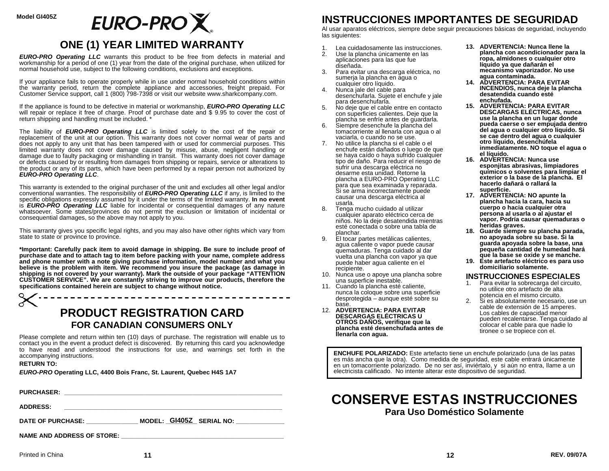![](_page_6_Picture_1.jpeg)

*EURO-PRO Operating LLC* warrants this product to be free from defects in material and workmanship for a period of one (1) year from the date of the original purchase, when utilized for normal household use, subject to the following conditions, exclusions and exceptions.

If your appliance fails to operate properly while in use under normal household conditions within the warranty period, return the complete appliance and accessories, freight prepaid. For Customer Service support, call 1 (800) 798-7398 or visit our website www.sharkcompany.com.

If the appliance is found to be defective in material or workmanship, *EURO-PRO Operating LLC*  will repair or replace it free of charge. Proof of purchase date and \$ 9.95 to cover the cost of return shipping and handling must be included. \*

The liability of *EURO-PRO Operating LLC* is limited solely to the cost of the repair or replacement of the unit at our option. This warranty does not cover normal wear of parts and does not apply to any unit that has been tampered with or used for commercial purposes. This limited warranty does not cover damage caused by misuse, abuse, negligent handling or damage due to faulty packaging or mishandling in transit. This warranty does not cover damage or defects caused by or resulting from damages from shipping or repairs, service or alterations to the product or any of its parts, which have been performed by a repair person not authorized by *EURO-PRO Operating LLC*.

This warranty is extended to the original purchaser of the unit and excludes all other legal and/or conventional warranties. The responsibility of *EURO-PRO Operating LLC* if any, is limited to the specific obligations expressly assumed by it under the terms of the limited warranty. **In no event**  is *EURO-PRO Operating LLC* liable for incidental or consequential damages of any nature whatsoever. Some states/provinces do not permit the exclusion or limitation of incidental or consequential damages, so the above may not apply to you.

This warranty gives you specific legal rights, and you may also have other rights which vary from state to state or province to province.

**\*Important: Carefully pack item to avoid damage in shipping. Be sure to include proof of purchase date and to attach tag to item before packing with your name, complete address and phone number with a note giving purchase information, model number and what you believe is the problem with item. We recommend you insure the package (as damage in shipping is not covered by your warranty). Mark the outside of your package "ATTENTION CUSTOMER SERVICE". We are constantly striving to improve our products, therefore the specifications contained herein are subject to change without notice.**

# **PRODUCT REGISTRATION CARDFOR CANADIAN CONSUMERS ONLY**

-------------------------------------

Please complete and return within ten (10) days of purchase. The registration will enable us to contact you in the event a product defect is discovered. By returning this card you acknowledge to have read and understood the instructions for use, and warnings set forth in the accompanying instructions.

#### **RETURN TO:**

*EURO-PRO* **Operating LLC, 4400 Bois Franc, St. Laurent, Quebec H4S 1A7**

**PURCHASER: \_\_\_\_\_\_\_\_\_\_\_\_\_\_\_\_\_\_\_\_\_\_\_\_\_\_\_\_\_\_\_\_\_\_\_\_\_\_\_\_\_\_\_\_\_\_\_\_\_\_\_\_\_\_\_\_\_\_\_\_\_\_\_** 

**ADDRESS: \_\_\_\_\_\_\_\_\_\_\_\_\_\_\_\_\_\_\_\_\_\_\_\_\_\_\_\_\_\_\_\_\_\_\_\_\_\_\_\_\_\_\_\_\_\_\_\_\_\_\_\_\_\_\_\_\_\_\_\_\_\_\_**

**DATE OF PURCHASE: \_\_\_\_\_\_\_\_\_\_\_\_\_\_\_ MODEL: \_\_\_\_\_\_\_\_\_ SERIAL NO: \_\_\_\_\_\_\_\_\_\_\_\_\_\_ GI405Z**

**NAME AND ADDRESS OF STORE: \_\_\_\_\_\_\_\_\_\_\_\_\_\_\_\_\_\_\_\_\_\_\_\_\_\_\_\_\_\_\_\_\_\_\_\_\_\_\_\_\_\_\_\_\_\_\_**

# **INSTRUCCIONES IMPORTANTES DE SEGURIDAD**

Al usar aparatos eléctricos, siempre debe seguir precauciones básicas de seguridad, incluyendo las siguientes:

- 1. Lea cuidadosamente las instrucciones.
- 2. Use la plancha únicamente en las aplicaciones para las que fue diseñada.
- 3. Para evitar una descarga eléctrica, no sumerja la plancha en agua o cualquier otro líquido.
- Nunca jale del cable para desenchufarla. Sujete el enchufe y jale para desenchufarla.
- 5. No deje que el cable entre en contacto con superficies calientes. Deje que la plancha se enfríe antes de guardarla.
- 6. Siempre desenchufe la plancha del tomacorriente al llenarla con agua o al vaciarla, o cuando no se use.
- 7. No utilice la plancha si el cable o el enchufe están dañados o luego de que se haya caído o haya sufrido cualquier tipo de daño. Para reducir el riesgo de sufrir una descarga eléctrica no desarme esta unidad. Retorne la plancha a EURO-PRO Operating LLC para que sea examinada y reparada. Si se arma incorrectamente puede causar una descarga eléctrica al usarla.
- 8. Tenga mucho cuidado al utilizar cualquier aparato eléctrico cerca de niños. No la deje desatendida mientras esté conectada o sobre una tabla de planchar.
- 9. El tocar partes metálicas calientes, agua caliente o vapor puede causar quemaduras. Tenga cuidado al dar vuelta una plancha con vapor ya que puede haber agua caliente en el recipiente.
- 10. Nunca use o apoye una plancha sobre una superficie inestable.
- 11. Cuando la plancha esté caliente, nunca la coloque sobre una superficie desprotegida – aunque esté sobre su base.
- 12. **ADVERTENCIA: PARA EVITAR DESCARGAS ELÉCTRICAS U OTROS DAÑOS, verifique que la plancha esté desenchufada antes de llenarla con agua.**
- **13. ADVERTENCIA: Nunca llene la plancha con acondicionador para la ropa, almidones o cualquier otro líquido ya que dañarán el mecanismo vaporizador. No use agua contaminada.**
- **14. ADVERTENCIA: PARA EVITAR INCENDIOS, nunca deje la plancha desatendida cuando esté enchufada.**
- **15. ADVERTENCIA: PARA EVITAR DESCARGAS ELÉCTRICAS, nunca use la plancha en un lugar donde pueda caerse o ser empujada dentro del agua o cualquier otro líquido. Si se cae dentro del agua o cualquier otro líquido, desenchúfela inmediatamente. NO toque el agua o el líquido.**
- **16. ADVERTENCIA: Nunca use esponjitas abrasivas, limpiadores químicos o solventes para limpiar el exterior o la base de la plancha. El hacerlo dañará o rallará la superficie.**
- **17. ADVERTENCIA: NO apunte la plancha hacia la cara, hacia su cuerpo o hacia cualquier otra persona al usarla o al ajustar el vapor. Podría causar quemaduras o heridas graves.**
- **18. Guarde siempre su plancha parada, no apoyada sobre su base. Si la guarda apoyada sobre la base, una pequeña cantidad de humedad hará**
- **que la base se oxide y se manche. 19. Este artefacto eléctrico es para uso domiciliario solamente.**

### **INSTRUCCIONES ESPECIALES**

- 1. Para evitar la sobrecarga del circuito, no utilice otro artefacto de alta
- potencia en el mismo circuito. 2. Si es absolutamente necesario, use un cable de extensión de 15 amperes. Los cables de capacidad menor pueden recalentarse. Tenga cuidado al colocar el cable para que nadie lo tironee o se tropiece con el.

**ENCHUFE POLARIZADO:** Este artefacto tiene un enchufe polarizado (una de las patas es más ancha que la otra). Como medida de seguridad, este cable entrará únicamente en un tomacorriente polarizado. De no ser así, inviértalo, y si aún no entra, llame a un electricista calificado. No intente alterar este dispositivo de seguridad.

# **CONSERVE ESTAS INSTRUCCIONESPara Uso Doméstico Solamente**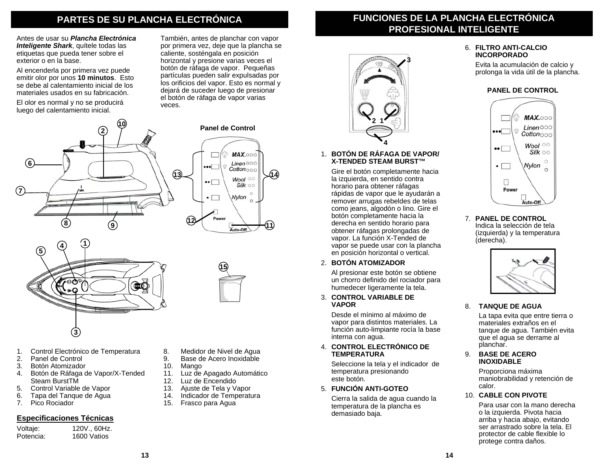# **PARTES DE SU PLANCHA ELECTRÓNICA**

Antes de usar su *Plancha Electrónica Inteligente Shark*, quítele todas las etiquetas que pueda tener sobre el exterior o en la base.

Al encenderla por primera vez puede emitir olor por unos **10 minutos**. Esto se debe al calentamiento inicial de los materiales usados en su fabricación.

El olor es normal y no se producirá luego del calentamiento inicial.

También, antes de planchar con vapor por primera vez, deje que la plancha se caliente, sosténgala en posición horizontal y presione varias veces el botón de ráfaga de vapor. Pequeñas partículas pueden salir expulsadas por los orificios del vapor. Esto es normal y dejará de suceder luego de presionar el botón de ráfaga de vapor varias veces.

### **Display Panel Panel de Control**

![](_page_7_Figure_6.jpeg)

**10**

![](_page_7_Figure_7.jpeg)

![](_page_7_Figure_8.jpeg)

![](_page_7_Picture_9.jpeg)

- 1. Control Electrónico de Temperatura
- 2. Panel de Control
- 3. Botón Atomizador
- 4. Botón de Ráfaga de Vapor/X-Tended Steam BurstTM
- 5. Control Variable de Vapor
- 6. Tapa del Tanque de Agua<br>7. Pico Rociador
- Pico Rociador

### **Especificaciones Técnicas**

| Voltaje:  | 120V., 60Hz. |
|-----------|--------------|
| Potencia: | 1600 Vatios  |

- 8. Medidor de Nivel de Agua<br>9. Base de Acero Inoxidable
- Base de Acero Inoxidable
- 10. Mango
- 11. Luz de Apagado Automático
- 12. Luz de Encendido
- 
- 13. Ajuste de Tela y Vapor<br>14. Indicador de Temperatu Indicador de Temperatura
- 15. Frasco para Agua

### **FUNCIONES DE LA PLANCHA ELECTRÓNICA PROFESIONAL INTELIGENTE**

![](_page_7_Picture_28.jpeg)

### 1. **BOTÓN DE RÁFAGA DE VAPOR/ X-TENDED STEAM BURST™**

Gire el botón completamente hacia la izquierda, en sentido contra horario para obtener ráfagas rápidas de vapor que le ayudarán a remover arrugas rebeldes de telas como jeans, algodón o lino. Gire el botón completamente hacia la derecha en sentido horario para obtener ráfagas prolongadas de vapor. La función X-Tended de vapor se puede usar con la plancha en posición horizontal o vertical.

### 2. **BOTÓN ATOMIZADOR**

Al presionar este botón se obtiene un chorro definido del rociador para humedecer ligeramente la tela.

#### 3. **CONTROL VARIABLE DE VAPOR**

Desde el mínimo al máximo de vapor para distintos materiales. La función auto-limpiante rocía la base interna con agua.

#### 4. **CONTROL ELECTRÓNICO DE TEMPERATURA**

Seleccione la tela y el indicador de temperatura presionando este botón.

### 5. **FUNCIÓN ANTI-GOTEO**

Cierra la salida de agua cuando la temperatura de la plancha es demasiado baja.

#### 6. **FILTRO ANTI-CALCIO INCORPORADO**

Evita la acumulación de calcio y prolonga la vida útil de la plancha.

### **PANEL DE CONTROL**

![](_page_7_Picture_42.jpeg)

7. **PANEL DE CONTROL** Indica la selección de tela (izquierda) y la temperatura (derecha).

![](_page_7_Picture_44.jpeg)

### 8. **TANQUE DE AGUA**

La tapa evita que entre tierra o materiales extraños en el tanque de agua. También evita que el agua se derrame al planchar.

#### 9. **BASE DE ACERO INOXIDABLE**

Proporciona máxima maniobrabilidad y retención de calor.

### 10. **CABLE CON PIVOTE**

Para usar con la mano derecha o la izquierda. Pivota hacia arriba y hacia abajo, evitando ser arrastrado sobre la tela. El protector de cable flexible lo protege contra daños.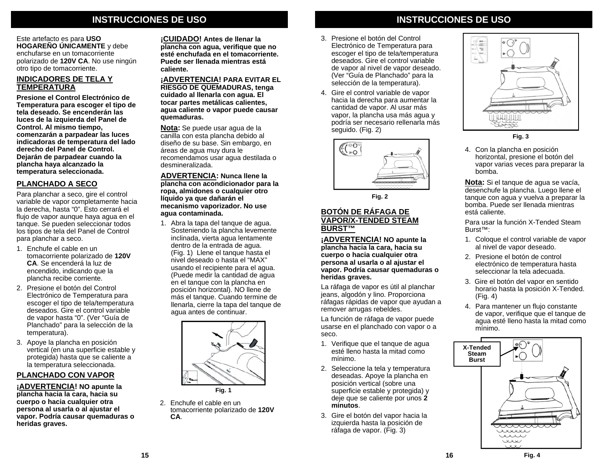# **INSTRUCCIONES DE USO**

### Este artefacto es para **USO HOGAREÑO ÚNICAMENTE** y debe enchufarse en un tomacorriente polarizado de **120V CA**. No use ningún otro tipo de tomacorriente.

### **INDICADORES DE TELA Y TEMPERATURA**

**Presione el Control Electrónico de Temperatura para escoger el tipo de tela deseado. Se encenderán las luces de la izquierda del Panel de Control. Al mismo tiempo, comenzarán a parpadear las luces indicadoras de temperatura del lado derecho del Panel de Control. Dejarán de parpadear cuando la plancha haya alcanzado la temperatura seleccionada.**

### **PLANCHADO A SECO**

Para planchar a seco, gire el control variable de vapor completamente hacia la derecha, hasta "0". Esto cerrará el flujo de vapor aunque haya agua en el tanque. Se pueden seleccionar todos los tipos de tela del Panel de Control para planchar a seco.

- 1. Enchufe el cable en un tomacorriente polarizado de **120V CA**. Se encenderá la luz de encendido, indicando que la plancha recibe corriente.
- 2. Presione el botón del Control Electrónico de Temperatura para escoger el tipo de tela/temperatura deseados. Gire el control variable de vapor hasta "0". (Ver "Guía de Planchado" para la selección de la temperatura).
- 3. Apoye la plancha en posición vertical (en una superficie estable y protegida) hasta que se caliente a la temperatura seleccionada.

### **PLANCHADO CON VAPOR**

**¡ADVERTENCIA! NO apunte la plancha hacia la cara, hacia su cuerpo o hacia cualquier otra persona al usarla o al ajustar el vapor. Podría causar quemaduras o heridas graves.**

**¡CUIDADO! Antes de llenar la plancha con agua, verifique que no esté enchufada en el tomacorriente. Puede ser llenada mientras está caliente.**

**¡ADVERTENCIA! PARA EVITAR EL RIESGO DE QUEMADURAS, tenga cuidado al llenarla con agua. El tocar partes metálicas calientes, agua caliente o vapor puede causar quemaduras.**

**Nota:** Se puede usar agua de la canilla con esta plancha debido al diseño de su base. Sin embargo, en áreas de agua muy dura le recomendamos usar agua destilada o desmineralizada.

**ADVERTENCIA: Nunca llene la plancha con acondicionador para la ropa, almidones o cualquier otro líquido ya que dañarán el mecanismo vaporizador. No use agua contaminada.**

1. Abra la tapa del tanque de agua. Sosteniendo la plancha levemente inclinada, vierta agua lentamente dentro de la entrada de agua. (Fig. 1) Llene el tanque hasta el nivel deseado o hasta el "MAX" usando el recipiente para el agua. (Puede medir la cantidad de agua en el tanque con la plancha en posición horizontal). NO llene de más el tanque. Cuando termine de llenarla, cierre la tapa del tanque de agua antes de continuar.

![](_page_8_Picture_16.jpeg)

2. Enchufe el cable en un tomacorriente polarizado de **120V CA**.

# **INSTRUCCIONES DE USO**

- 3. Presione el botón del Control Electrónico de Temperatura para escoger el tipo de tela/temperatura deseados. Gire el control variable de vapor al nivel de vapor deseado. (Ver "Guía de Planchado" para la selección de la temperatura).
- 4. Gire el control variable de vapor hacia la derecha para aumentar la cantidad de vapor. Al usar más vapor, la plancha usa más agua y podría ser necesario rellenarla más seguido. (Fig. 2)

![](_page_8_Picture_21.jpeg)

**Fig. 2**

### **BOTÓN DE RÁFAGA DE VAPOR/X-TENDED STEAM BURST™**

**¡ADVERTENCIA! NO apunte la plancha hacia la cara, hacia su cuerpo o hacia cualquier otra persona al usarla o al ajustar el vapor. Podría causar quemaduras o heridas graves.**

La ráfaga de vapor es útil al planchar jeans, algodón y lino. Proporciona ráfagas rápidas de vapor que ayudan a remover arrugas rebeldes.

La función de ráfaga de vapor puede usarse en el planchado con vapor o a seco.

- 1. Verifique que el tanque de agua esté lleno hasta la mitad como mínimo.
- 2. Seleccione la tela y temperatura deseadas. Apoye la plancha en posición vertical (sobre una superficie estable y protegida) y deje que se caliente por unos **2 minutos**.
- 3. Gire el botón del vapor hacia la izquierda hasta la posición de ráfaga de vapor. (Fig. 3)

![](_page_8_Figure_30.jpeg)

**Fig. 3**

4. Con la plancha en posición horizontal, presione el botón del vapor varias veces para preparar la bomba.

**Nota:** Si el tanque de agua se vacía, desenchufe la plancha. Luego llene el tanque con agua y vuelva a preparar la bomba. Puede ser llenada mientras está caliente.

Para usar la función X-Tended Steam Burst™:

- 1. Coloque el control variable de vapor al nivel de vapor deseado.
- 2. Presione el botón de control electrónico de temperatura hasta seleccionar la tela adecuada.
- 3. Gire el botón del vapor en sentido horario hasta la posición X-Tended. (Fig. 4)
- 4. Para mantener un flujo constante de vapor, verifique que el tanque de agua esté lleno hasta la mitad como mínimo.

![](_page_8_Picture_39.jpeg)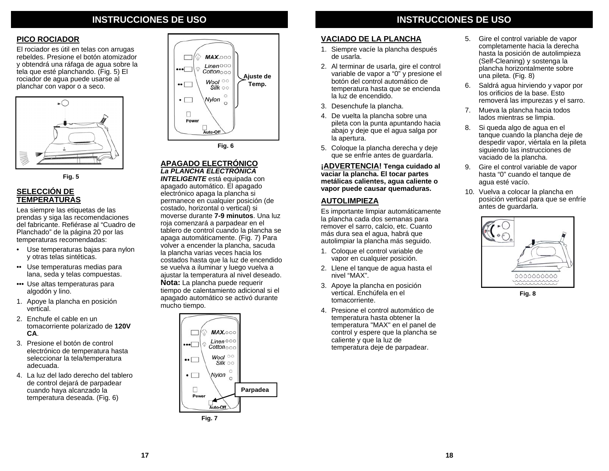## **INSTRUCCIONES DE USO**

### **PICO ROCIADOR**

El rociador es útil en telas con arrugas rebeldes. Presione el botón atomizador y obtendrá una ráfaga de agua sobre la tela que esté planchando. (Fig. 5) El rociador de agua puede usarse al planchar con vapor o a seco.

![](_page_9_Figure_3.jpeg)

**Fig. 5**

### **SELECCIÓN DE TEMPERATURAS**

Lea siempre las etiquetas de las prendas y siga las recomendaciones del fabricante. Refiérase al "Cuadro de Planchado" de la página 20 por las temperaturas recomendadas:

- Use temperaturas bajas para nylon y otras telas sintéticas.
- •• Use temperaturas medias para lana, seda y telas compuestas.
- ••• Use altas temperaturas para algodón y lino.
- 1. Apoye la plancha en posición vertical.
- 2. Enchufe el cable en un tomacorriente polarizado de **120V CA**.
- 3. Presione el botón de control electrónico de temperatura hasta seleccionar la tela/temperatura adecuada.
- 4. La luz del lado derecho del tablero de control dejará de parpadear cuando haya alcanzado la temperatura deseada. (Fig. 6)

![](_page_9_Figure_14.jpeg)

**Fig. 6**

#### **APAGADO ELECTRÓNICO***La PLANCHA ELECTRÓNICA*

 *INTELIGENTE* está equipada con apagado automático. El apagado electrónico apaga la plancha si permanece en cualquier posición (de costado, horizontal o vertical) si moverse durante **7-9 minutos**. Una luz roja comenzará a parpadear en el tablero de control cuando la plancha se apaga automáticamente. (Fig. 7) Para volver a encender la plancha, sacuda la plancha varias veces hacia los costados hasta que la luz de encendido se vuelva a iluminar y luego vuelva a ajustar la temperatura al nivel deseado. **Nota:** La plancha puede requerir tiempo de calentamiento adicional si el apagado automático se activó durante mucho tiempo.

![](_page_9_Figure_18.jpeg)

# **INSTRUCCIONES DE USO**

### **VACIADO DE LA PLANCHA**

- 1. Siempre vacíe la plancha después de usarla.
- 2. Al terminar de usarla, gire el control variable de vapor a "0" y presione el botón del control automático de temperatura hasta que se encienda la luz de encendido.
- 3. Desenchufe la plancha.
- 4. De vuelta la plancha sobre una pileta con la punta apuntando hacia abajo y deje que el agua salga por la apertura.
- 5. Coloque la plancha derecha y deje que se enfríe antes de guardarla.

**¡ADVERTENCIA! Tenga cuidado al vaciar la plancha. El tocar partes metálicas calientes, agua caliente o vapor puede causar quemaduras.**

### **AUTOLIMPIEZA**

Es importante limpiar automáticamente la plancha cada dos semanas para remover el sarro, calcio, etc. Cuanto más dura sea el agua, habrá que autolimpiar la plancha más seguido.

- 1. Coloque el control variable de vapor en cualquier posición.
- 2. Llene el tanque de agua hasta el nivel "MAX".
- 3. Apoye la plancha en posición vertical. Enchúfela en el tomacorriente.
- 4. Presione el control automático de temperatura hasta obtener la temperatura "MAX" en el panel de control y espere que la plancha se caliente y que la luz de temperatura deje de parpadear.
- 5. Gire el control variable de vapor completamente hacia la derecha hasta la posición de autolimpieza (Self-Cleaning) y sostenga la plancha horizontalmente sobre una pileta. (Fig. 8)
- 6. Saldrá agua hirviendo y vapor por los orificios de la base. Esto removerá las impurezas y el sarro.
- 7. Mueva la plancha hacia todos lados mientras se limpia.
- 8. Si queda algo de agua en el tanque cuando la plancha deje de despedir vapor, viértala en la pileta siguiendo las instrucciones de vaciado de la plancha.
- 9. Gire el control variable de vapor hasta "0" cuando el tanque de agua esté vacío.
- 10. Vuelva a colocar la plancha en posición vertical para que se enfríe antes de guardarla.

![](_page_9_Picture_39.jpeg)

![](_page_9_Figure_40.jpeg)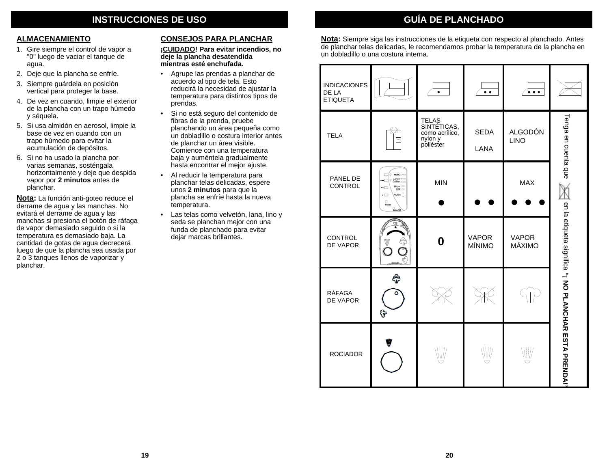### **INSTRUCCIONES DE USO**

### **ALMACENAMIENTO**

- 1. Gire siempre el control de vapor a "0" luego de vaciar el tanque de agua.
- 2. Deje que la plancha se enfríe.
- 3. Siempre guárdela en posición vertical para proteger la base.
- 4. De vez en cuando, limpie el exterior de la plancha con un trapo húmedo y séquela.
- 5. Si usa almidón en aerosol, limpie la base de vez en cuando con un trapo húmedo para evitar la acumulación de depósitos.
- 6. Si no ha usado la plancha por varias semanas, sosténgala horizontalmente y deje que despida vapor por **2 minutos** antes de planchar.

**Nota:** La función anti-goteo reduce el derrame de agua y las manchas. No evitará el derrame de agua y las manchas si presiona el botón de ráfaga de vapor demasiado seguido o si la temperatura es demasiado baja. La cantidad de gotas de agua decrecerá luego de que la plancha sea usada por 2 o 3 tanques llenos de vaporizar y planchar.

### **CONSEJOS PARA PLANCHAR**

**¡CUIDADO! Para evitar incendios, no deje la plancha desatendida mientras esté enchufada.**

- Agrupe las prendas a planchar de acuerdo al tipo de tela. Esto reducirá la necesidad de ajustar la temperatura para distintos tipos de prendas.
- Si no está seguro del contenido de fibras de la prenda, pruebe planchando un área pequeña como un dobladillo o costura interior antes de planchar un área visible. Comience con una temperatura baja y auméntela gradualmente hasta encontrar el mejor ajuste.
- Al reducir la temperatura para planchar telas delicadas, espere unos **2 minutos** para que la plancha se enfríe hasta la nueva temperatura.
- Las telas como velvetón, lana, lino y seda se planchan mejor con una funda de planchado para evitar dejar marcas brillantes.

# **GUÍA DE PLANCHADO**

**Nota:** Siempre siga las instrucciones de la etiqueta con respecto al planchado. Antes de planchar telas delicadas, le recomendamos probar la temperatura de la plancha en un dobladillo o una costura interna.

| <b>INDICACIONES</b><br>DE LA<br><b>ETIQUETA</b> |                                                                                                                               | ۰                                                              |                     |                        |                                                       |
|-------------------------------------------------|-------------------------------------------------------------------------------------------------------------------------------|----------------------------------------------------------------|---------------------|------------------------|-------------------------------------------------------|
| <b>TELA</b>                                     |                                                                                                                               | TELAS<br>SINTÉTICAS,<br>como acrílico,<br>nylon y<br>poliéster | <b>SEDA</b><br>LANA | ALGODÓN<br><b>LINO</b> | Tenga en cuenta que                                   |
| PANEL DE<br>CONTROL                             | MAX.<br>$\Box$<br>Linen <sup>o</sup><br>$\blacksquare$<br>Wool<br>Silk<br>$\blacksquare$<br>$\overline{\phantom{a}}$<br>Mylon | <b>MIN</b>                                                     |                     | <b>MAX</b>             |                                                       |
| CONTROL<br>DE VAPOR                             |                                                                                                                               | 0                                                              | VAPOR<br>MÍNIMO     | <b>VAPOR</b><br>MÁXIMO |                                                       |
| <b>RÁFAGA</b><br>DE VAPOR                       | 虛<br>G                                                                                                                        |                                                                |                     |                        |                                                       |
| <b>ROCIADOR</b>                                 |                                                                                                                               | ∭/                                                             | ∭/                  | $\mathbb{W}$           | en la etiqueta significa ", NO PLANCHAR ESTA PRENDAY. |